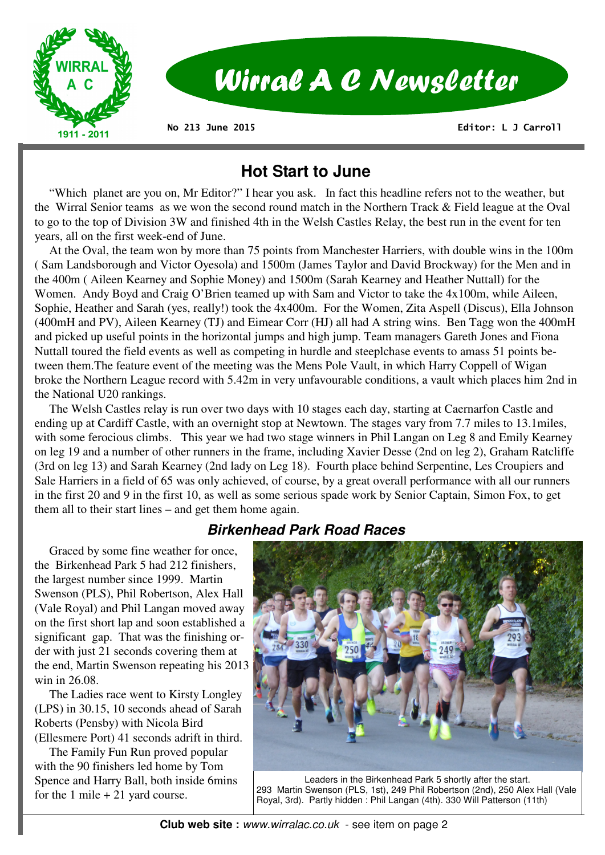

 **Editor: L J Carroll** 

# **Hot Start to June**

 "Which planet are you on, Mr Editor?" I hear you ask. In fact this headline refers not to the weather, but the Wirral Senior teams as we won the second round match in the Northern Track & Field league at the Oval to go to the top of Division 3W and finished 4th in the Welsh Castles Relay, the best run in the event for ten years, all on the first week-end of June.

 At the Oval, the team won by more than 75 points from Manchester Harriers, with double wins in the 100m ( Sam Landsborough and Victor Oyesola) and 1500m (James Taylor and David Brockway) for the Men and in the 400m ( Aileen Kearney and Sophie Money) and 1500m (Sarah Kearney and Heather Nuttall) for the Women. Andy Boyd and Craig O'Brien teamed up with Sam and Victor to take the 4x100m, while Aileen, Sophie, Heather and Sarah (yes, really!) took the 4x400m. For the Women, Zita Aspell (Discus), Ella Johnson (400mH and PV), Aileen Kearney (TJ) and Eimear Corr (HJ) all had A string wins. Ben Tagg won the 400mH and picked up useful points in the horizontal jumps and high jump. Team managers Gareth Jones and Fiona Nuttall toured the field events as well as competing in hurdle and steeplchase events to amass 51 points between them.The feature event of the meeting was the Mens Pole Vault, in which Harry Coppell of Wigan broke the Northern League record with 5.42m in very unfavourable conditions, a vault which places him 2nd in the National U20 rankings.

 The Welsh Castles relay is run over two days with 10 stages each day, starting at Caernarfon Castle and ending up at Cardiff Castle, with an overnight stop at Newtown. The stages vary from 7.7 miles to 13.1miles, with some ferocious climbs. This year we had two stage winners in Phil Langan on Leg 8 and Emily Kearney on leg 19 and a number of other runners in the frame, including Xavier Desse (2nd on leg 2), Graham Ratcliffe (3rd on leg 13) and Sarah Kearney (2nd lady on Leg 18). Fourth place behind Serpentine, Les Croupiers and Sale Harriers in a field of 65 was only achieved, of course, by a great overall performance with all our runners in the first 20 and 9 in the first 10, as well as some serious spade work by Senior Captain, Simon Fox, to get them all to their start lines – and get them home again.

# **Birkenhead Park Road Races**

 Graced by some fine weather for once, the Birkenhead Park 5 had 212 finishers, the largest number since 1999. Martin Swenson (PLS), Phil Robertson, Alex Hall (Vale Royal) and Phil Langan moved away on the first short lap and soon established a significant gap. That was the finishing order with just 21 seconds covering them at the end, Martin Swenson repeating his 2013 win in 26.08.

 The Ladies race went to Kirsty Longley (LPS) in 30.15, 10 seconds ahead of Sarah Roberts (Pensby) with Nicola Bird (Ellesmere Port) 41 seconds adrift in third.

 The Family Fun Run proved popular with the 90 finishers led home by Tom Spence and Harry Ball, both inside 6mins for the 1 mile  $+ 21$  yard course.



Leaders in the Birkenhead Park 5 shortly after the start. 293 Martin Swenson (PLS, 1st), 249 Phil Robertson (2nd), 250 Alex Hall (Vale Royal, 3rd). Partly hidden : Phil Langan (4th). 330 Will Patterson (11th)